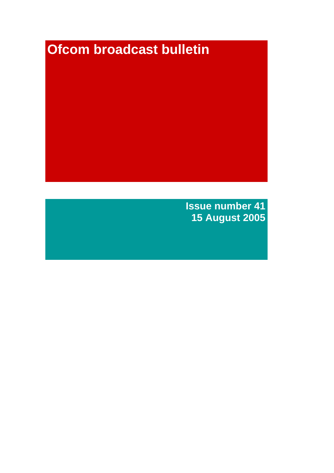# **Ofcom broadcast bulletin**

**Issue number 41 15 August 2005**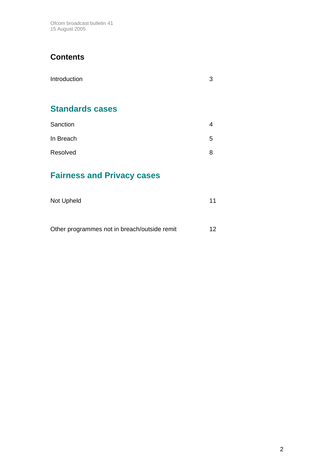Ofcom broadcast bulletin 41 15 August 2005

## **Contents**

| Introduction           | З |
|------------------------|---|
| <b>Standards cases</b> |   |
| Sanction               | 4 |
| In Breach              | 5 |
| Resolved               | 8 |

# **Fairness and Privacy cases**

| Not Upheld | 11 |
|------------|----|
|            |    |

Other programmes not in breach/outside remit 12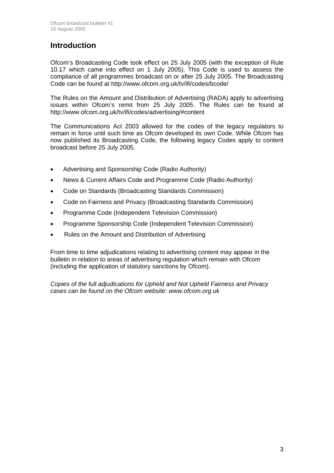## **Introduction**

Ofcom's Broadcasting Code took effect on 25 July 2005 (with the exception of Rule 10.17 which came into effect on 1 July 2005). This Code is used to assess the compliance of all programmes broadcast on or after 25 July 2005. The Broadcasting Code can be found at http://www.ofcom.org.uk/tv/ifi/codes/bcode/

The Rules on the Amount and Distribution of Advertising (RADA) apply to advertising issues within Ofcom's remit from 25 July 2005. The Rules can be found at http://www.ofcom.org.uk/tv/ifi/codes/advertising/#content

The Communications Act 2003 allowed for the codes of the legacy regulators to remain in force until such time as Ofcom developed its own Code. While Ofcom has now published its Broadcasting Code, the following legacy Codes apply to content broadcast before 25 July 2005.

- Advertising and Sponsorship Code (Radio Authority)
- News & Current Affairs Code and Programme Code (Radio Authority)
- Code on Standards (Broadcasting Standards Commission)
- Code on Fairness and Privacy (Broadcasting Standards Commission)
- Programme Code (Independent Television Commission)
- Programme Sponsorship Code (Independent Television Commission)
- Rules on the Amount and Distribution of Advertising

From time to time adjudications relating to advertising content may appear in the bulletin in relation to areas of advertising regulation which remain with Ofcom (including the application of statutory sanctions by Ofcom).

*Copies of the full adjudications for Upheld and Not Upheld Fairness and Privacy cases can be found on the Ofcom website: www.ofcom.org.uk*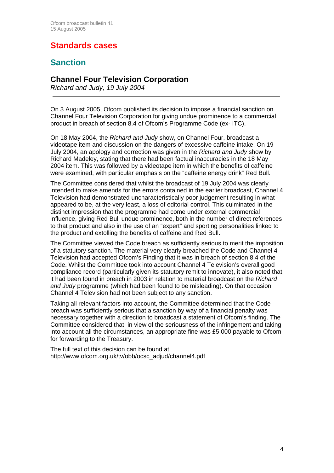# **Standards cases**

## **Sanction**

#### **Channel Four Television Corporation**

*Richard and Judy, 19 July 2004* 

On 3 August 2005, Ofcom published its decision to impose a financial sanction on Channel Four Television Corporation for giving undue prominence to a commercial product in breach of section 8.4 of Ofcom's Programme Code (ex- ITC).

On 18 May 2004, the *Richard and Judy* show, on Channel Four, broadcast a videotape item and discussion on the dangers of excessive caffeine intake. On 19 July 2004, an apology and correction was given in the *Richard and Judy* show by Richard Madeley, stating that there had been factual inaccuracies in the 18 May 2004 item. This was followed by a videotape item in which the benefits of caffeine were examined, with particular emphasis on the "caffeine energy drink" Red Bull.

The Committee considered that whilst the broadcast of 19 July 2004 was clearly intended to make amends for the errors contained in the earlier broadcast, Channel 4 Television had demonstrated uncharacteristically poor judgement resulting in what appeared to be, at the very least, a loss of editorial control. This culminated in the distinct impression that the programme had come under external commercial influence, giving Red Bull undue prominence, both in the number of direct references to that product and also in the use of an "expert" and sporting personalities linked to the product and extolling the benefits of caffeine and Red Bull.

The Committee viewed the Code breach as sufficiently serious to merit the imposition of a statutory sanction. The material very clearly breached the Code and Channel 4 Television had accepted Ofcom's Finding that it was in breach of section 8.4 of the Code. Whilst the Committee took into account Channel 4 Television's overall good compliance record (particularly given its statutory remit to innovate), it also noted that it had been found in breach in 2003 in relation to material broadcast on the *Richard and Judy* programme (which had been found to be misleading). On that occasion Channel 4 Television had not been subject to any sanction.

Taking all relevant factors into account, the Committee determined that the Code breach was sufficiently serious that a sanction by way of a financial penalty was necessary together with a direction to broadcast a statement of Ofcom's finding. The Committee considered that, in view of the seriousness of the infringement and taking into account all the circumstances, an appropriate fine was £5,000 payable to Ofcom for forwarding to the Treasury.

The full text of this decision can be found at http://www.ofcom.org.uk/tv/obb/ocsc\_adjud/channel4.pdf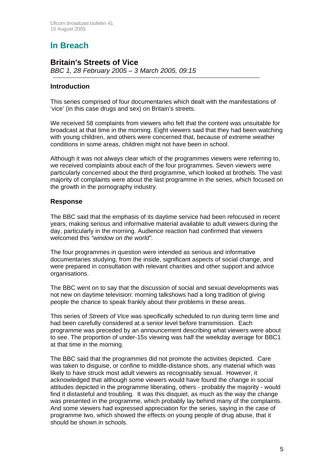# **In Breach**

### **Britain's Streets of Vice**

*BBC 1, 28 February 2005 – 3 March 2005, 09:15*

#### **Introduction**

This series comprised of four documentaries which dealt with the manifestations of 'vice' (in this case drugs and sex) on Britain's streets.

We received 58 complaints from viewers who felt that the content was unsuitable for broadcast at that time in the morning. Eight viewers said that they had been watching with young children, and others were concerned that, because of extreme weather conditions in some areas, children might not have been in school.

Although it was not always clear which of the programmes viewers were referring to, we received complaints about each of the four programmes. Seven viewers were particularly concerned about the third programme, which looked at brothels. The vast majority of complaints were about the last programme in the series, which focused on the growth in the pornography industry.

#### **Response**

The BBC said that the emphasis of its daytime service had been refocused in recent years, making serious and informative material available to adult viewers during the day, particularly in the morning. Audience reaction had confirmed that viewers welcomed this *"window on the world"*.

The four programmes in question were intended as serious and informative documentaries studying, from the inside, significant aspects of social change, and were prepared in consultation with relevant charities and other support and advice organisations.

The BBC went on to say that the discussion of social and sexual developments was not new on daytime television: morning talkshows had a long tradition of giving people the chance to speak frankly about their problems in these areas.

This series of *Streets of Vice* was specifically scheduled to run during term time and had been carefully considered at a senior level before transmission. Each programme was preceded by an announcement describing what viewers were about to see. The proportion of under-15s viewing was half the weekday average for BBC1 at that time in the morning.

The BBC said that the programmes did not promote the activities depicted. Care was taken to disguise, or confine to middle-distance shots, any material which was likely to have struck most adult viewers as recognisably sexual. However, it acknowledged that although some viewers would have found the change in social attitudes depicted in the programme liberating, others - probably the majority - would find it distasteful and troubling. It was this disquiet, as much as the way the change was presented in the programme, which probably lay behind many of the complaints. And some viewers had expressed appreciation for the series, saying in the case of programme two, which showed the effects on young people of drug abuse, that it should be shown in schools.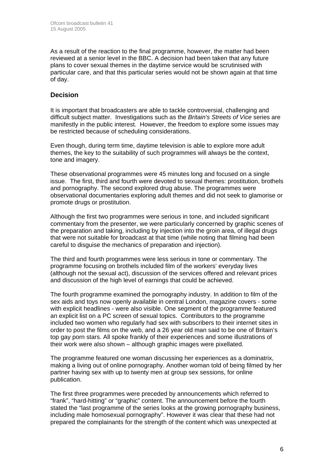As a result of the reaction to the final programme, however, the matter had been reviewed at a senior level in the BBC. A decision had been taken that any future plans to cover sexual themes in the daytime service would be scrutinised with particular care, and that this particular series would not be shown again at that time of day.

#### **Decision**

It is important that broadcasters are able to tackle controversial, challenging and difficult subject matter. Investigations such as the *Britain's Streets of Vice* series are manifestly in the public interest. However, the freedom to explore some issues may be restricted because of scheduling considerations.

Even though, during term time, daytime television is able to explore more adult themes, the key to the suitability of such programmes will always be the context, tone and imagery.

These observational programmes were 45 minutes long and focused on a single issue. The first, third and fourth were devoted to sexual themes: prostitution, brothels and pornography. The second explored drug abuse. The programmes were observational documentaries exploring adult themes and did not seek to glamorise or promote drugs or prostitution.

Although the first two programmes were serious in tone, and included significant commentary from the presenter, we were particularly concerned by graphic scenes of the preparation and taking, including by injection into the groin area, of illegal drugs that were not suitable for broadcast at that time (while noting that filming had been careful to disguise the mechanics of preparation and injection).

The third and fourth programmes were less serious in tone or commentary. The programme focusing on brothels included film of the workers' everyday lives (although not the sexual act), discussion of the services offered and relevant prices and discussion of the high level of earnings that could be achieved.

The fourth programme examined the pornography industry. In addition to film of the sex aids and toys now openly available in central London, magazine covers - some with explicit headlines - were also visible. One segment of the programme featured an explicit list on a PC screen of sexual topics. Contributors to the programme included two women who regularly had sex with subscribers to their internet sites in order to post the films on the web, and a 26 year old man said to be one of Britain's top gay porn stars. All spoke frankly of their experiences and some illustrations of their work were also shown – although graphic images were pixellated.

The programme featured one woman discussing her experiences as a dominatrix, making a living out of online pornography. Another woman told of being filmed by her partner having sex with up to twenty men at group sex sessions, for online publication.

The first three programmes were preceded by announcements which referred to "frank", "hard-hitting" or "graphic" content. The announcement before the fourth stated the "last programme of the series looks at the growing pornography business, including male homosexual pornography". However it was clear that these had not prepared the complainants for the strength of the content which was unexpected at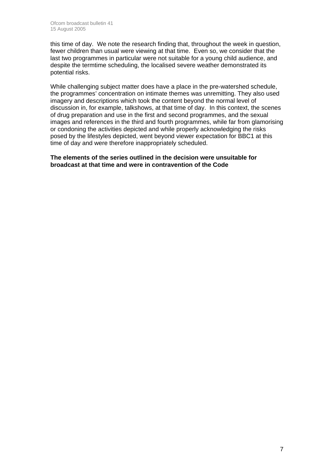this time of day. We note the research finding that, throughout the week in question, fewer children than usual were viewing at that time. Even so, we consider that the last two programmes in particular were not suitable for a young child audience, and despite the termtime scheduling, the localised severe weather demonstrated its potential risks.

While challenging subject matter does have a place in the pre-watershed schedule, the programmes' concentration on intimate themes was unremitting. They also used imagery and descriptions which took the content beyond the normal level of discussion in, for example, talkshows, at that time of day. In this context, the scenes of drug preparation and use in the first and second programmes, and the sexual images and references in the third and fourth programmes, while far from glamorising or condoning the activities depicted and while properly acknowledging the risks posed by the lifestyles depicted, went beyond viewer expectation for BBC1 at this time of day and were therefore inappropriately scheduled.

**The elements of the series outlined in the decision were unsuitable for broadcast at that time and were in contravention of the Code**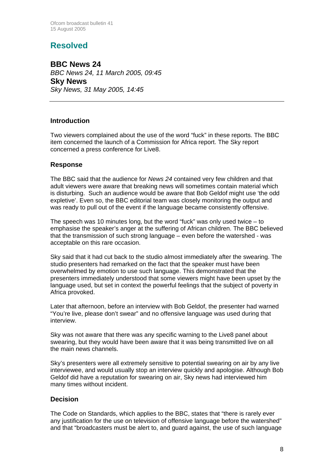Ofcom broadcast bulletin 41 15 August 2005

## **Resolved**

**BBC News 24**  *BBC News 24, 11 March 2005, 09:45*  **Sky News**  *Sky News, 31 May 2005, 14:45*

#### **Introduction**

Two viewers complained about the use of the word "fuck" in these reports. The BBC item concerned the launch of a Commission for Africa report. The Sky report concerned a press conference for Live8.

#### **Response**

The BBC said that the audience for *News 24* contained very few children and that adult viewers were aware that breaking news will sometimes contain material which is disturbing. Such an audience would be aware that Bob Geldof might use 'the odd expletive'. Even so, the BBC editorial team was closely monitoring the output and was ready to pull out of the event if the language became consistently offensive.

The speech was 10 minutes long, but the word "fuck" was only used twice – to emphasise the speaker's anger at the suffering of African children. The BBC believed that the transmission of such strong language – even before the watershed - was acceptable on this rare occasion.

Sky said that it had cut back to the studio almost immediately after the swearing. The studio presenters had remarked on the fact that the speaker must have been overwhelmed by emotion to use such language. This demonstrated that the presenters immediately understood that some viewers might have been upset by the language used, but set in context the powerful feelings that the subject of poverty in Africa provoked.

Later that afternoon, before an interview with Bob Geldof, the presenter had warned "You're live, please don't swear" and no offensive language was used during that interview.

Sky was not aware that there was any specific warning to the Live8 panel about swearing, but they would have been aware that it was being transmitted live on all the main news channels.

Sky's presenters were all extremely sensitive to potential swearing on air by any live interviewee, and would usually stop an interview quickly and apologise. Although Bob Geldof did have a reputation for swearing on air, Sky news had interviewed him many times without incident.

#### **Decision**

The Code on Standards, which applies to the BBC, states that "there is rarely ever any justification for the use on television of offensive language before the watershed" and that "broadcasters must be alert to, and guard against, the use of such language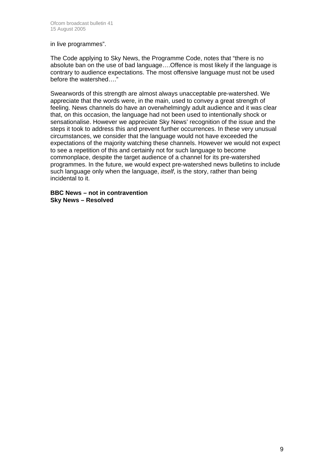in live programmes".

The Code applying to Sky News, the Programme Code, notes that "there is no absolute ban on the use of bad language….Offence is most likely if the language is contrary to audience expectations. The most offensive language must not be used before the watershed…."

Swearwords of this strength are almost always unacceptable pre-watershed. We appreciate that the words were, in the main, used to convey a great strength of feeling. News channels do have an overwhelmingly adult audience and it was clear that, on this occasion, the language had not been used to intentionally shock or sensationalise. However we appreciate Sky News' recognition of the issue and the steps it took to address this and prevent further occurrences. In these very unusual circumstances, we consider that the language would not have exceeded the expectations of the majority watching these channels. However we would not expect to see a repetition of this and certainly not for such language to become commonplace, despite the target audience of a channel for its pre-watershed programmes. In the future, we would expect pre-watershed news bulletins to include such language only when the language, *itself*, is the story, rather than being incidental to it.

**BBC News – not in contravention Sky News – Resolved**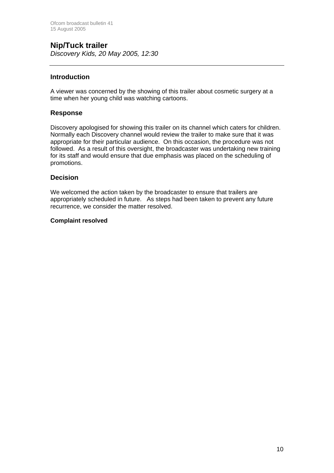## **Nip/Tuck trailer**

*Discovery Kids, 20 May 2005, 12:30*

#### **Introduction**

A viewer was concerned by the showing of this trailer about cosmetic surgery at a time when her young child was watching cartoons.

#### **Response**

Discovery apologised for showing this trailer on its channel which caters for children. Normally each Discovery channel would review the trailer to make sure that it was appropriate for their particular audience. On this occasion, the procedure was not followed. As a result of this oversight, the broadcaster was undertaking new training for its staff and would ensure that due emphasis was placed on the scheduling of promotions.

#### **Decision**

We welcomed the action taken by the broadcaster to ensure that trailers are appropriately scheduled in future. As steps had been taken to prevent any future recurrence, we consider the matter resolved.

#### **Complaint resolved**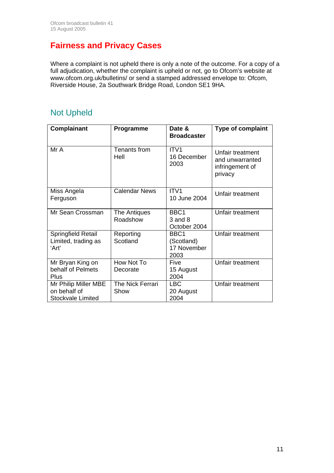# **Fairness and Privacy Cases**

Where a complaint is not upheld there is only a note of the outcome. For a copy of a full adjudication, whether the complaint is upheld or not, go to Ofcom's website at www.ofcom.org.uk/bulletins/ or send a stamped addressed envelope to: Ofcom, Riverside House, 2a Southwark Bridge Road, London SE1 9HA.

## Not Upheld

| <b>Complainant</b>                                               | Programme                | Date &<br><b>Broadcaster</b>              | <b>Type of complaint</b>                                          |
|------------------------------------------------------------------|--------------------------|-------------------------------------------|-------------------------------------------------------------------|
| Mr A                                                             | Tenants from<br>Hell     | ITV <sub>1</sub><br>16 December<br>2003   | Unfair treatment<br>and unwarranted<br>infringement of<br>privacy |
| Miss Angela<br>Ferguson                                          | <b>Calendar News</b>     | ITV <sub>1</sub><br>10 June 2004          | Unfair treatment                                                  |
| Mr Sean Crossman                                                 | The Antiques<br>Roadshow | BBC1<br>$3$ and $8$<br>October 2004       | Unfair treatment                                                  |
| Springfield Retail<br>Limited, trading as<br>'Art'               | Reporting<br>Scotland    | BBC1<br>(Scotland)<br>17 November<br>2003 | Unfair treatment                                                  |
| Mr Bryan King on<br>behalf of Pelmets<br>Plus                    | How Not To<br>Decorate   | Five<br>15 August<br>2004                 | Unfair treatment                                                  |
| Mr Philip Miller MBE<br>on behalf of<br><b>Stockvale Limited</b> | The Nick Ferrari<br>Show | <b>LBC</b><br>20 August<br>2004           | Unfair treatment                                                  |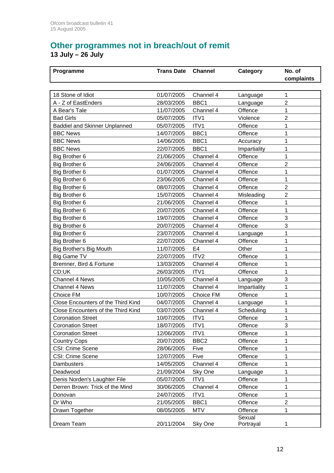## **Other programmes not in breach/out of remit 13 July – 26 July**

| Programme                            | <b>Trans Date</b> | <b>Channel</b>   | Category     | No. of<br>complaints |
|--------------------------------------|-------------------|------------------|--------------|----------------------|
|                                      |                   |                  |              |                      |
| 18 Stone of Idiot                    | 01/07/2005        | Channel 4        | Language     | 1                    |
| A - Z of EastEnders                  | 28/03/2005        | BBC1             | Language     | $\overline{2}$       |
| A Bear's Tale                        | 11/07/2005        | Channel 4        | Offence      | 1                    |
| <b>Bad Girls</b>                     | 05/07/2005        | ITV1             | Violence     | $\overline{2}$       |
| <b>Baddiel and Skinner Unplanned</b> | 05/07/2005        | ITV1             | Offence      | 1                    |
| <b>BBC News</b>                      | 14/07/2005        | BBC1             | Offence      | 1                    |
| <b>BBC News</b>                      | 14/06/2005        | BBC1             | Accuracy     | 1                    |
| <b>BBC News</b>                      | 22/07/2005        | BBC1             | Impartiality | 1                    |
| Big Brother 6                        | 21/06/2005        | Channel 4        | Offence      | 1                    |
| Big Brother 6                        | 24/06/2005        | Channel 4        | Offence      | $\overline{2}$       |
| Big Brother 6                        | 01/07/2005        | Channel 4        | Offence      | 1                    |
| Big Brother 6                        | 23/06/2005        | Channel 4        | Offence      | 1                    |
| Big Brother 6                        | 08/07/2005        | Channel 4        | Offence      | 2                    |
| Big Brother 6                        | 15/07/2005        | Channel 4        | Misleading   | $\overline{2}$       |
| Big Brother 6                        | 21/06/2005        | Channel 4        | Offence      | 1                    |
| Big Brother 6                        | 20/07/2005        | Channel 4        | Offence      | 1                    |
| Big Brother 6                        | 19/07/2005        | Channel 4        | Offence      | 3                    |
| Big Brother 6                        | 20/07/2005        | Channel 4        | Offence      | 3                    |
| Big Brother 6                        | 23/07/2005        | Channel 4        | Language     | 1                    |
| Big Brother 6                        | 22/07/2005        | Channel 4        | Offence      | 1                    |
| Big Brother's Big Mouth              | 11/07/2005        | E <sub>4</sub>   | Other        | 1                    |
| <b>Big Game TV</b>                   | 22/07/2005        | ITV <sub>2</sub> | Offence      | 1                    |
| Bremner, Bird & Fortune              | 13/03/2005        | Channel 4        | Offence      | 1                    |
| CD:UK                                | 26/03/2005        | ITV1             | Offence      | 1                    |
| <b>Channel 4 News</b>                | 10/05/2005        | Channel 4        | Language     | 3                    |
| Channel 4 News                       | 11/07/2005        | Channel 4        | Impartiality | 1                    |
| Choice FM                            | 10/07/2005        | Choice FM        | Offence      | 1                    |
| Close Encounters of the Third Kind   | 04/07/2005        | Channel 4        | Language     | 1                    |
| Close Encounters of the Third Kind   | 03/07/2005        | Channel 4        | Scheduling   | 1                    |
| <b>Coronation Street</b>             | 10/07/2005        | ITV1             | Offence      | 1                    |
| <b>Coronation Street</b>             | 18/07/2005        | ITV1             | Offence      | 3                    |
| <b>Coronation Street</b>             | 12/06/2005        | ITV1             | Offence      | 1                    |
| <b>Country Cops</b>                  | 20/07/2005        | BBC <sub>2</sub> | Offence      | 1                    |
| CSI: Crime Scene                     | 28/06/2005        | Five             | Offence      | 1                    |
| CSI: Crime Scene                     | 12/07/2005        | Five             | Offence      | 1                    |
| Dambusters                           | 14/05/2005        | Channel 4        | Offence      |                      |
| Deadwood                             | 21/09/2004        | Sky One          | Language     |                      |
| Denis Norden's Laughter File         | 05/07/2005        | ITV1             | Offence      | 1                    |
| Derren Brown: Trick of the Mind      | 30/06/2005        | Channel 4        | Offence      | 1                    |
| Donovan                              | 24/07/2005        | ITV1             | Offence      | 1                    |
| Dr Who                               | 21/05/2005        | BBC1             | Offence      | $\overline{2}$       |
| Drawn Together                       | 08/05/2005        | <b>MTV</b>       | Offence      | 1                    |
|                                      |                   |                  | Sexual       |                      |
| Dream Team                           | 20/11/2004        | Sky One          | Portrayal    |                      |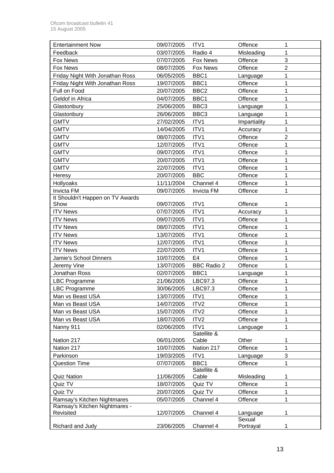| <b>Entertainment Now</b>         | 09/07/2005 | ITV1                 | Offence      | 1              |
|----------------------------------|------------|----------------------|--------------|----------------|
| Feedback                         | 03/07/2005 | Radio 4              | Misleading   | 1              |
| <b>Fox News</b>                  | 07/07/2005 | <b>Fox News</b>      | Offence      | 3              |
| <b>Fox News</b>                  | 08/07/2005 | <b>Fox News</b>      | Offence      | $\overline{2}$ |
| Friday Night With Jonathan Ross  | 06/05/2005 | BBC1                 | Language     | 1              |
| Friday Night With Jonathan Ross  | 19/07/2005 | BBC1                 | Offence      | 1              |
| Full on Food                     | 20/07/2005 | BBC <sub>2</sub>     | Offence      | 1              |
| Geldof in Africa                 | 04/07/2005 | BBC1                 | Offence      | 1              |
| Glastonbury                      | 25/06/2005 | BBC <sub>3</sub>     | Language     | 1              |
| Glastonbury                      | 26/06/2005 | BBC <sub>3</sub>     | Language     | 1              |
| <b>GMTV</b>                      | 27/02/2005 | ITV1                 | Impartiality | 1              |
| <b>GMTV</b>                      | 14/04/2005 | ITV1                 | Accuracy     | $\mathbf{1}$   |
| <b>GMTV</b>                      | 08/07/2005 | ITV1                 | Offence      | $\overline{2}$ |
| <b>GMTV</b>                      | 12/07/2005 | ITV1                 | Offence      | 1              |
| <b>GMTV</b>                      | 09/07/2005 | ITV1                 | Offence      | 1              |
| <b>GMTV</b>                      | 20/07/2005 | ITV1                 | Offence      | 1              |
| <b>GMTV</b>                      | 22/07/2005 | ITV1                 | Offence      | 1              |
| Heresy                           | 20/07/2005 | <b>BBC</b>           | Offence      | 1              |
| Hollyoaks                        | 11/11/2004 | Channel 4            | Offence      | 1              |
| Invicta FM                       | 09/07/2005 | Invicta FM           | Offence      | 1              |
| It Shouldn't Happen on TV Awards |            |                      |              |                |
| Show                             | 09/07/2005 | ITV1                 | Offence      | 1              |
| <b>ITV News</b>                  | 07/07/2005 | ITV1                 | Accuracy     | 1              |
| <b>ITV News</b>                  | 09/07/2005 | ITV1                 | Offence      | 1              |
| <b>ITV News</b>                  | 08/07/2005 | ITV1                 | Offence      | 1              |
| <b>ITV News</b>                  | 13/07/2005 | ITV1                 | Offence      | 1              |
| <b>ITV News</b>                  | 12/07/2005 | ITV1                 | Offence      | 1              |
| <b>ITV News</b>                  | 22/07/2005 | ITV1                 | Offence      | 1              |
| Jamie's School Dinners           | 10/07/2005 | E <sub>4</sub>       | Offence      | 1              |
| Jeremy Vine                      | 13/07/2005 | <b>BBC Radio 2</b>   | Offence      | 1              |
| Jonathan Ross                    | 02/07/2005 | BBC1                 | Language     | 1              |
| <b>LBC Programme</b>             | 21/06/2005 | LBC97.3              | Offence      | 1              |
| <b>LBC Programme</b>             | 30/06/2005 | LBC97.3              | Offence      | $\mathbf{1}$   |
| Man vs Beast USA                 | 13/07/2005 | ITV1                 | Offence      | 1              |
| Man vs Beast USA                 | 14/07/2005 | ITV <sub>2</sub>     | Offence      | 1              |
| Man vs Beast USA                 | 15/07/2005 | ITV2                 | Offence      | 1              |
| Man vs Beast USA                 | 18/07/2005 | ITV <sub>2</sub>     | Offence      | 1              |
| Nanny 911                        | 02/06/2005 | ITV1                 | Language     | 1              |
|                                  |            | Satellite &          |              |                |
| Nation 217                       | 06/01/2005 | Cable                | Other        | 1              |
| Nation 217                       | 10/07/2005 | Nation 217           | Offence      | 1              |
| Parkinson                        | 19/03/2005 | ITV1                 | Language     | 3              |
| <b>Question Time</b>             | 07/07/2005 | BBC1                 | Offence      | 1              |
| <b>Quiz Nation</b>               | 11/06/2005 | Satellite &<br>Cable | Misleading   | 1              |
| Quiz TV                          | 18/07/2005 | Quiz TV              | Offence      | 1              |
| Quiz TV                          | 20/07/2005 | Quiz TV              | Offence      | 1              |
| Ramsay's Kitchen Nightmares      | 05/07/2005 | Channel 4            | Offence      | 1              |
| Ramsay's Kitchen Nightmares -    |            |                      |              |                |
| Revisited                        | 12/07/2005 | Channel 4            | Language     | 1              |
|                                  |            |                      | Sexual       |                |
| Richard and Judy                 | 23/06/2005 | Channel 4            | Portrayal    | 1              |